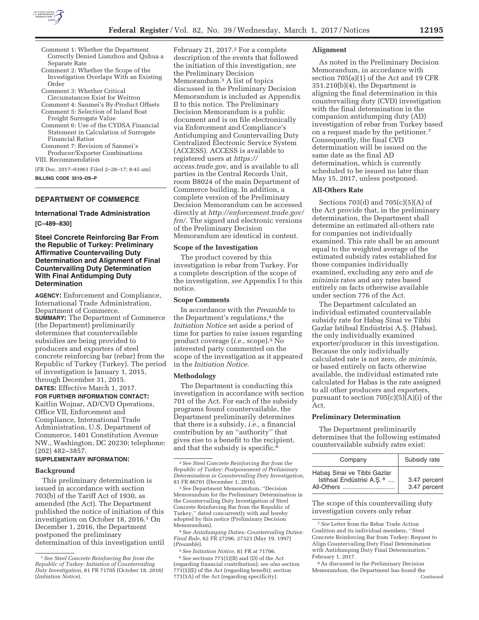

- Comment 1: Whether the Department Correctly Denied Lianzhou and Quhua a Separate Rate
- Comment 2: Whether the Scope of the Investigation Overlaps With an Existing Order
- Comment 3: Whether Critical
- Circumstances Exist for Weitron
- Comment 4: Sanmei's By-Product Offsets Comment 5: Selection of Inland Boat
- Freight Surrogate Value Comment 6: Use of the CYDSA Financial Statement in Calculation of Surrogate Financial Ratios
- Comment 7: Revision of Sanmei's Producer/Exporter Combinations

VIII. Recommendation

[FR Doc. 2017–03961 Filed 2–28–17; 8:45 am] **BILLING CODE 3510–DS–P** 

# **DEPARTMENT OF COMMERCE**

# **International Trade Administration [C–489–830]**

## **Steel Concrete Reinforcing Bar From the Republic of Turkey: Preliminary Affirmative Countervailing Duty Determination and Alignment of Final Countervailing Duty Determination With Final Antidumping Duty Determination**

**AGENCY:** Enforcement and Compliance, International Trade Administration, Department of Commerce. **SUMMARY:** The Department of Commerce (the Department) preliminarily determines that countervailable subsidies are being provided to producers and exporters of steel concrete reinforcing bar (rebar) from the Republic of Turkey (Turkey). The period of investigation is January 1, 2015, through December 31, 2015. **DATES:** Effective March 1, 2017.

**FOR FURTHER INFORMATION CONTACT:**  Kaitlin Wojnar, AD/CVD Operations, Office VII, Enforcement and Compliance, International Trade Administration, U.S. Department of Commerce, 1401 Constitution Avenue NW., Washington, DC 20230; telephone: (202) 482–3857.

# **SUPPLEMENTARY INFORMATION:**

#### **Background**

This preliminary determination is issued in accordance with section 703(b) of the Tariff Act of 1930, as amended (the Act). The Department published the notice of initiation of this investigation on October 18, 2016.1 On December 1, 2016, the Department postponed the preliminary determination of this investigation until

February 21, 2017.<sup>2</sup> For a complete description of the events that followed the initiation of this investigation, *see*  the Preliminary Decision Memorandum.3 A list of topics discussed in the Preliminary Decision Memorandum is included as Appendix II to this notice. The Preliminary Decision Memorandum is a public document and is on file electronically via Enforcement and Compliance's Antidumping and Countervailing Duty Centralized Electronic Service System (ACCESS). ACCESS is available to registered users at *https:// access.trade.gov,* and is available to all parties in the Central Records Unit, room B8024 of the main Department of Commerce building. In addition, a complete version of the Preliminary Decision Memorandum can be accessed directly at *http://enforcement.trade.gov/ frn/.* The signed and electronic versions of the Preliminary Decision Memorandum are identical in content.

#### **Scope of the Investigation**

The product covered by this investigation is rebar from Turkey. For a complete description of the scope of the investigation, *see* Appendix I to this notice.

#### **Scope Comments**

In accordance with the *Preamble* to the Department's regulations,<sup>4</sup> the *Initiation Notice* set aside a period of time for parties to raise issues regarding product coverage (*i.e.,* scope).5 No interested party commented on the scope of the investigation as it appeared in the *Initiation Notice.* 

## **Methodology**

The Department is conducting this investigation in accordance with section 701 of the Act. For each of the subsidy programs found countervailable, the Department preliminarily determines that there is a subsidy, *i.e.,* a financial contribution by an ''authority'' that gives rise to a benefit to the recipient, and that the subsidy is specific.<sup>6</sup>

<sup>3</sup> See Department Memorandum, "Decision Memorandum for the Preliminary Determination in the Countervailing Duty Investigation of Steel Concrete Reinforcing Bar from the Republic of Turkey,'' dated concurrently with and hereby adopted by this notice (Preliminary Decision Memorandum). 4*See Antidumping Duties; Countervailing Duties:* 

*Final Rule,* 62 FR 27296, 27323 (May 19, 1997) (*Preamble*). 5*See Initiation Notice,* 81 FR at 71706. 6*See* sections 771(5)(B) and (D) of the Act

(regarding financial contribution); *see also* section  $771(5)(E)$  of the Act (regarding benefit); section 771(5A) of the Act (regarding specificity).

#### **Alignment**

As noted in the Preliminary Decision Memorandum, in accordance with section 705(a)(1) of the Act and 19 CFR 351.210(b)(4), the Department is aligning the final determination in this countervailing duty (CVD) investigation with the final determination in the companion antidumping duty (AD) investigation of rebar from Turkey based on a request made by the petitioner.7 Consequently, the final CVD determination will be issued on the same date as the final AD determination, which is currently scheduled to be issued no later than May 15, 2017, unless postponed.

#### **All-Others Rate**

Sections 703(d) and 705(c)(5)(A) of the Act provide that, in the preliminary determination, the Department shall determine an estimated all-others rate for companies not individually examined. This rate shall be an amount equal to the weighted average of the estimated subsidy rates established for those companies individually examined, excluding any zero and *de minimis* rates and any rates based entirely on facts otherwise available under section 776 of the Act.

The Department calculated an individual estimated countervailable subsidy rate for Habas¸ Sinai ve Tibbi Gazlar Istihsal Endüstrisi A.Ş. (Habas), the only individually examined exporter/producer in this investigation. Because the only individually calculated rate is not zero, *de minimis,*  or based entirely on facts otherwise available, the individual estimated rate calculated for Habas is the rate assigned to all other producers and exporters, pursuant to section  $705(c)(5)(A)(i)$  of the Act.

## **Preliminary Determination**

The Department preliminarily determines that the following estimated countervailable subsidy rates exist:

| Company                                                                 | Subsidy rate                 |
|-------------------------------------------------------------------------|------------------------------|
| Habaş Sinai ve Tibbi Gazlar<br>Istinsal Endüstrisi A.Ş. 8<br>All-Others | 3.47 percent<br>3.47 percent |

The scope of this countervailing duty investigation covers only rebar

7*See* Letter from the Rebar Trade Action Coalition and its individual members, ''Steel Concrete Reinforcing Bar from Turkey: Request to Align Countervailing Duty Final Determination with Antidumping Duty Final Determination,'' February 1, 2017.

8As discussed in the Preliminary Decision Memorandum, the Department has found the Continued

<sup>1</sup>*See Steel Concrete Reinforcing Bar from the Republic of Turkey: Initiation of Countervailing Duty Investigation,* 81 FR 71705 (October 18, 2016) (*Initiation Notice*).

<sup>2</sup>*See Steel Concrete Reinforcing Bar from the Republic of Turkey: Postponement of Preliminary Determination in Countervailing Duty Investigation,*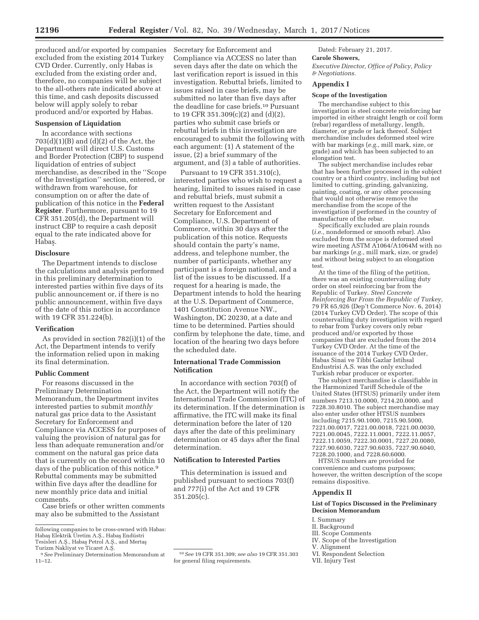produced and/or exported by companies excluded from the existing 2014 Turkey CVD Order. Currently, only Habas is excluded from the existing order and, therefore, no companies will be subject to the all-others rate indicated above at this time, and cash deposits discussed below will apply solely to rebar produced and/or exported by Habas.

# **Suspension of Liquidation**

In accordance with sections  $703(d)(1)(B)$  and  $(d)(2)$  of the Act, the Department will direct U.S. Customs and Border Protection (CBP) to suspend liquidation of entries of subject merchandise, as described in the ''Scope of the Investigation'' section, entered, or withdrawn from warehouse, for consumption on or after the date of publication of this notice in the **Federal Register**. Furthermore, pursuant to 19 CFR 351.205(d), the Department will instruct CBP to require a cash deposit equal to the rate indicated above for Habas.

## **Disclosure**

The Department intends to disclose the calculations and analysis performed in this preliminary determination to interested parties within five days of its public announcement or, if there is no public announcement, within five days of the date of this notice in accordance with 19 CFR 351.224(b).

#### **Verification**

As provided in section 782(i)(1) of the Act, the Department intends to verify the information relied upon in making its final determination.

#### **Public Comment**

For reasons discussed in the Preliminary Determination Memorandum, the Department invites interested parties to submit *monthly*  natural gas price data to the Assistant Secretary for Enforcement and Compliance via ACCESS for purposes of valuing the provision of natural gas for less than adequate remuneration and/or comment on the natural gas price data that is currently on the record within 10 days of the publication of this notice.9 Rebuttal comments may be submitted within five days after the deadline for new monthly price data and initial comments.

Case briefs or other written comments may also be submitted to the Assistant

Secretary for Enforcement and Compliance via ACCESS no later than seven days after the date on which the last verification report is issued in this investigation. Rebuttal briefs, limited to issues raised in case briefs, may be submitted no later than five days after the deadline for case briefs.10 Pursuant to 19 CFR 351.309(c)(2) and (d)(2), parties who submit case briefs or rebuttal briefs in this investigation are encouraged to submit the following with each argument: (1) A statement of the issue, (2) a brief summary of the argument, and (3) a table of authorities.

Pursuant to 19 CFR 351.310(c), interested parties who wish to request a hearing, limited to issues raised in case and rebuttal briefs, must submit a written request to the Assistant Secretary for Enforcement and Compliance, U.S. Department of Commerce, within 30 days after the publication of this notice. Requests should contain the party's name, address, and telephone number, the number of participants, whether any participant is a foreign national, and a list of the issues to be discussed. If a request for a hearing is made, the Department intends to hold the hearing at the U.S. Department of Commerce, 1401 Constitution Avenue NW., Washington, DC 20230, at a date and time to be determined. Parties should confirm by telephone the date, time, and location of the hearing two days before the scheduled date.

## **International Trade Commission Notification**

In accordance with section 703(f) of the Act, the Department will notify the International Trade Commission (ITC) of its determination. If the determination is affirmative, the ITC will make its final determination before the later of 120 days after the date of this preliminary determination or 45 days after the final determination.

# **Notification to Interested Parties**

This determination is issued and published pursuant to sections 703(f) and 777(i) of the Act and 19 CFR  $351.205(c)$ .

Dated: February 21, 2017. **Carole Showers,**  *Executive Director, Office of Policy, Policy & Negotiations.* 

### **Appendix I**

## **Scope of the Investigation**

The merchandise subject to this investigation is steel concrete reinforcing bar imported in either straight length or coil form (rebar) regardless of metallurgy, length, diameter, or grade or lack thereof. Subject merchandise includes deformed steel wire with bar markings (*e.g.,* mill mark, size, or grade) and which has been subjected to an elongation test.

The subject merchandise includes rebar that has been further processed in the subject country or a third country, including but not limited to cutting, grinding, galvanizing, painting, coating, or any other processing that would not otherwise remove the merchandise from the scope of the investigation if performed in the country of manufacture of the rebar.

Specifically excluded are plain rounds (*i.e.,* nondeformed or smooth rebar). Also excluded from the scope is deformed steel wire meeting ASTM A1064/A1064M with no bar markings (*e.g.,* mill mark, size, or grade) and without being subject to an elongation test.

At the time of the filing of the petition, there was an existing countervailing duty order on steel reinforcing bar from the Republic of Turkey. *Steel Concrete Reinforcing Bar From the Republic of Turkey,*  79 FR 65,926 (Dep't Commerce Nov. 6, 2014) (2014 Turkey CVD Order). The scope of this countervailing duty investigation with regard to rebar from Turkey covers only rebar produced and/or exported by those companies that are excluded from the 2014 Turkey CVD Order. At the time of the issuance of the 2014 Turkey CVD Order, Habas Sinai ve Tibbi Gazlar Istihsal Endustrisi A.S. was the only excluded Turkish rebar producer or exporter.

The subject merchandise is classifiable in the Harmonized Tariff Schedule of the United States (HTSUS) primarily under item numbers 7213.10.0000, 7214.20.0000, and 7228.30.8010. The subject merchandise may also enter under other HTSUS numbers including 7215.90.1000, 7215.90.5000, 7221.00.0017, 7221.00.0018, 7221.00.0030, 7221.00.0045, 7222.11.0001, 7222.11.0057, 7222.11.0059, 7222.30.0001, 7227.20.0080, 7227.90.6030, 7227.90.6035, 7227.90.6040, 7228.20.1000, and 7228.60.6000.

HTSUS numbers are provided for convenience and customs purposes; however, the written description of the scope remains dispositive.

#### **Appendix II**

#### **List of Topics Discussed in the Preliminary Decision Memorandum**

I. Summary II. Background III. Scope Comments IV. Scope of the Investigation V. Alignment

- VI. Respondent Selection
- VII. Injury Test

following companies to be cross-owned with Habas: Habaş Elektrik Üretim A.Ş., Habaş Endüstri Tesisleri A.Ş., Habaş Petrol A.Ş., and Mertaş<br>Tesisleri A.Ş., Habaş Petrol A.Ş., and Mertaş

<sup>&</sup>lt;sup>9</sup> See Preliminary Determination Memorandum at

<sup>11–12.</sup> 

<sup>10</sup>*See* 19 CFR 351.309; *see also* 19 CFR 351.303 for general filing requirements.